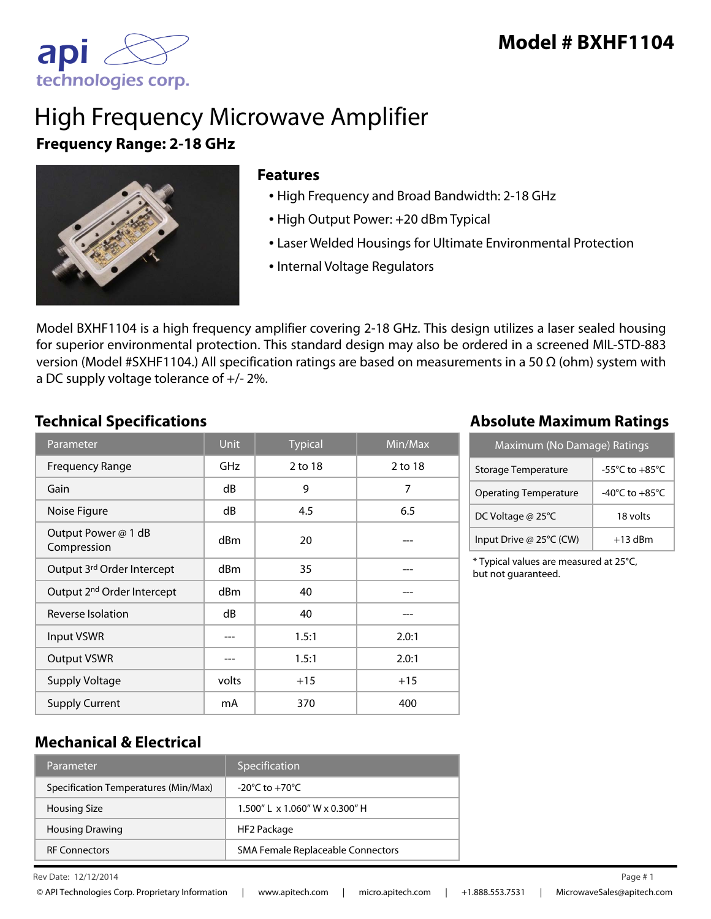

# High Frequency Microwave Amplifier **Frequency Range: 2-18 GHz**



#### **Features**

- High Frequency and Broad Bandwidth: 2-18 GHz
- High Output Power: +20 dBm Typical
- Laser Welded Housings for Ultimate Environmental Protection
- Internal Voltage Regulators

Model BXHF1104 is a high frequency amplifier covering 2-18 GHz. This design utilizes a laser sealed housing for superior environmental protection. This standard design may also be ordered in a screened MIL-STD-883 version (Model #SXHF1104.) All specification ratings are based on measurements in a 50 Ω (ohm) system with a DC supply voltage tolerance of +/- 2%.

| Parameter                              | <b>Unit</b>     | <b>Typical</b> | Min/Max |
|----------------------------------------|-----------------|----------------|---------|
| <b>Frequency Range</b>                 | GHz             | 2 to 18        | 2 to 18 |
| Gain                                   | dB              | 9              | 7       |
| Noise Figure                           | dB              | 4.5            | 6.5     |
| Output Power @ 1 dB<br>Compression     | dBm             | 20             |         |
| Output 3rd Order Intercept             | d <sub>Bm</sub> | 35             |         |
| Output 2 <sup>nd</sup> Order Intercept | dBm             | 40             |         |
| Reverse Isolation                      | dB              | 40             |         |
| <b>Input VSWR</b>                      |                 | 1.5:1          | 2.0:1   |
| <b>Output VSWR</b>                     |                 | 1.5:1          | 2.0:1   |
| <b>Supply Voltage</b>                  | volts           | $+15$          | $+15$   |
| <b>Supply Current</b>                  | mA              | 370            | 400     |

## **Technical Specifications Absolute Maximum Ratings**

| Maximum (No Damage) Ratings  |                                      |  |
|------------------------------|--------------------------------------|--|
| Storage Temperature          | -55 $^{\circ}$ C to +85 $^{\circ}$ C |  |
| <b>Operating Temperature</b> | -40 $^{\circ}$ C to +85 $^{\circ}$ C |  |
| DC Voltage @ 25°C            | 18 volts                             |  |
| Input Drive @ 25°C (CW)      | $+13$ dBm                            |  |

\* Typical values are measured at 25°C, but not guaranteed.

## **Mechanical & Electrical**

| Parameter                            | Specification                                   |
|--------------------------------------|-------------------------------------------------|
| Specification Temperatures (Min/Max) | $-20^{\circ}$ C to $+70^{\circ}$ C              |
| <b>Housing Size</b>                  | $1.500''$ L $\times$ 1.060" W $\times$ 0.300" H |
| <b>Housing Drawing</b>               | HF2 Package                                     |
| <b>RF Connectors</b>                 | <b>SMA Female Replaceable Connectors</b>        |

 $\mu$  Rev Date: 12/12/2014 Page # 1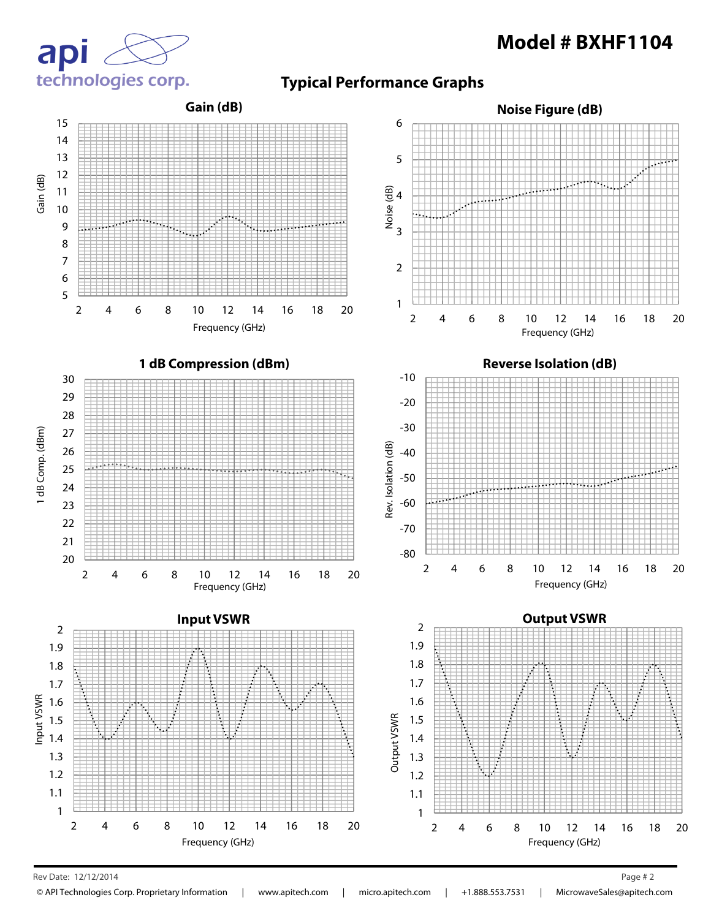



**Typical Performance Graphs**



Rev Date:  $12/12/2014$  Page # 2 12/12/2014 2